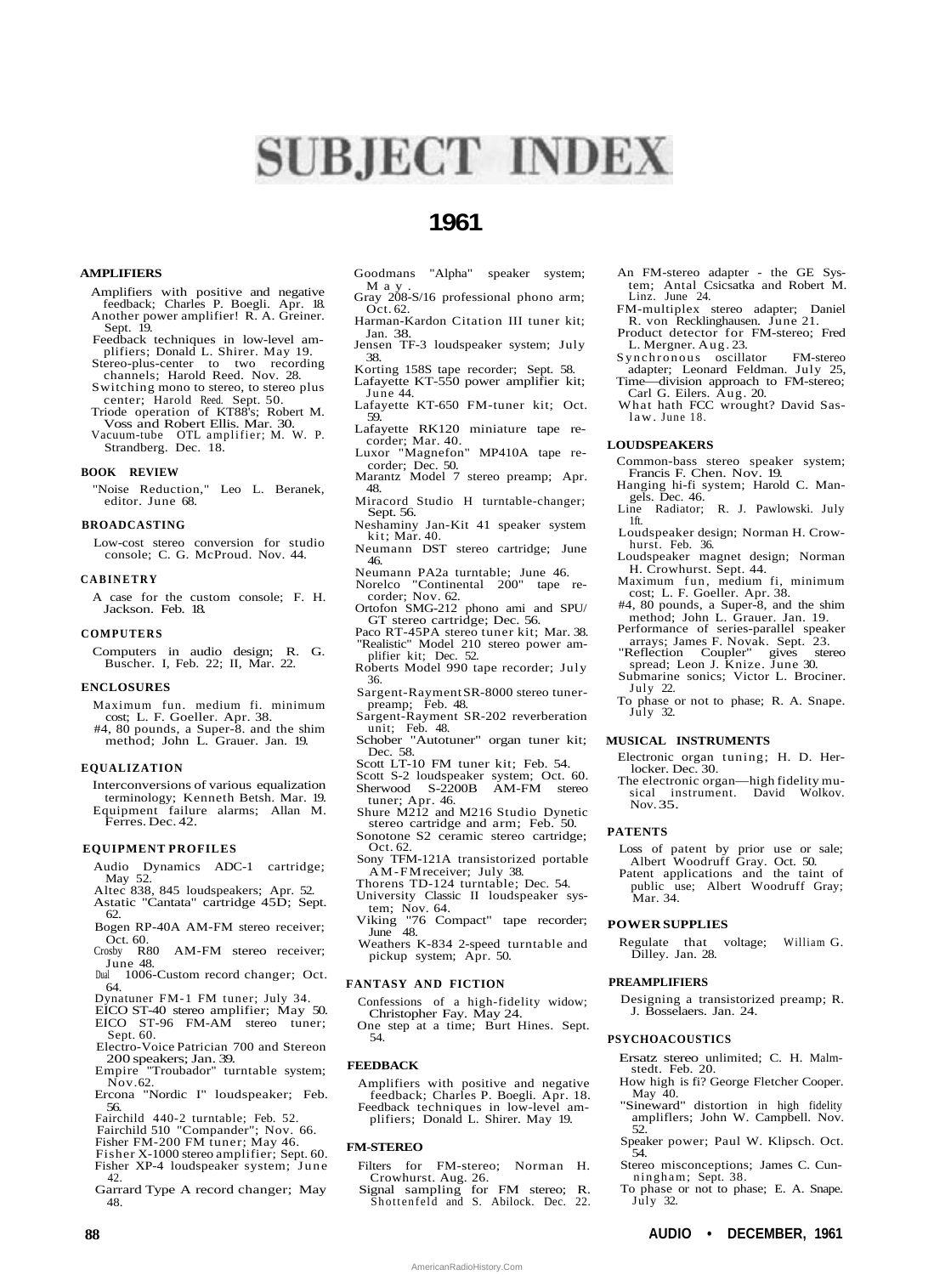# **SUBJECT INDEX**

# **1961**

# **AMPLIFIERS**

- Amplifiers with positive and negative feedback; Charles P. Boegli. Apr. 18. Another power amplifier! R. A. Greiner. Sept. 19.
- Feedback techniques in low-level amplifiers; Donald L. Shirer. May 19.<br>Stereo-plus-center to two recording
- Stereo-plus-center to two recording channels; Harold Reed. Nov. 28. Switching mono to stereo, to stereo plus
- center; Harold Reed. Sept. 50. Triode operation of KT88's; Robert M.
- Voss and Robert Ellis. Mar. 30. Vacuum-tube OTL amplifier; M. W. P. Strandberg. Dec. 18.

#### **BOOK REVIEW**

"Noise Reduction," Leo L. Beranek, editor. June 68.

### **BROADCASTING**

Low-cost stereo conversion for studio console; C. G. McProud. Nov. 44.

# **CABINETR Y**

A case for the custom console; F. H. Jackson. Feb. 18.

#### **COMPUTERS**

Computers in audio design; R. G. Buscher. I, Feb. 22; II, Mar. 22.

#### **ENCLOSURES**

Maximum fun. medium fi. minimum cost; L. F. Goeller. Apr. 38. #4, 80 pounds, a Super-8. and the shim method; John L. Grauer. Jan. 19.

#### **EQUALIZATION**

Interconversions of various equalization terminology; Kenneth Betsh. Mar. 19. Equipment failure alarms; Allan M. Ferres. Dec. 42.

# **EQUIPMENT PROFILES**

- Audio Dynamics ADC-1 cartridge; May 52.
- Altec 838, 845 loudspeakers; Apr. 52. Astatic "Cantata" cartridge 45D; Sept.
- 62. Bogen RP-40A AM-FM stereo receiver;
- Oct. 60. Crosby R80 AM-FM stereo receiver;
- June 48.<br>-- Dual 1006
- 1006-Custom record changer; Oct. 64.
- Dynatuner FM-1 FM tuner; July 34.
- EICO ST-40 stereo amplifier; May 50. EICO ST-96 FM-AM stereo tuner; Sept. 60.
- Electro-Voice Patrician 700 and Stereon 200 speakers; Jan. 39.
- Empire "Troubador" turntable system; Nov. 62.
- Ercona "Nordic I" loudspeaker; Feb. 56.
- Fairchild 440-2 turntable; Feb. 52.
- Fairchild 510 "Compander"; Nov. 66. Fisher FM-200 FM tuner; May 46.
- Fisher X-1000 stereo amplifier; Sept. 60.
- Fisher XP-4 loudspeaker system; June 42.
- Garrard Type A record changer; May 48.
- Goodmans "Alpha" speaker system; M a v
- Gray 208-S/16 professional phono arm; Oct. 62.
- Harman-Kardon Citation III tuner kit; Jan. 38.
- Jensen TF-3 loudspeaker system; July 38.
- Korting 158S tape recorder; Sept. 58. Lafayette KT-550 power amplifier kit; June 44.
- Lafayette KT-650 FM-tuner kit; Oct. 59.
- Lafayette RK120 miniature tape recorder; Mar. 40.
- Luxor "Magnefon" MP410A tape recorder; Dec. 50.
- Marantz Model 7 stereo preamp; Apr. 48.
- Miracord Studio H turntable-changer; Sept. 56.
- Neshaminy Jan-Kit 41 speaker system kit; Mar. 40.
- Neumann DST stereo cartridge; June 46.
- Neumann PA2a turntable; June 46. Norelco "Continental 200" tape recorder; Nov. 62.
- Ortofon SMG-212 phono ami and SPU/ GT stereo cartridge; Dec. 56.
- Paco RT-45PA stereo tuner kit; Mar. 38. "Realistic" Model 210 stereo power am-
- plifier kit; Dec. 52. Roberts Model 990 tape recorder; July 36.
- Sargent-Rayment SR-8000 stereo tuner-preamp; Feb. 48.
- Sargent-Rayment SR-202 reverberation
- unit; Feb. 48. Schober "Autotuner" organ tuner kit; Dec. 58.
- Scott LT-10 FM tuner kit; Feb. 54.
- Scott S-2 loudspeaker system; Oct. 60. Sherwood S-2200B AM-FM stereo tuner; Apr. 46.
- Shure M212 and M216 Studio Dynetic stereo cartridge and arm; Feb. 50.
- Sonotone S2 ceramic stereo cartridge; Oct. 62. Sony TFM-121A transistorized portable
- AM-FM receiver; July 38.
- Thorens TD-124 turntable; Dec. 54. University Classic II loudspeaker sys-
- tem; Nov. 64. Viking "76 Compact" tape recorder;
- June 48. Weathers K-834 2-speed turntable and
- pickup system; Apr. 50.

#### **FANTASY AND FICTION**

- Confessions of a high-fidelity widow; Christopher Fay. May 24.
- One step at a time; Burt Hines. Sept. 54.

# **FEEDBACK**

Amplifiers with positive and negative feedback; Charles P. Boegli. Apr. 18. Feedback techniques in low-level am-plifiers; Donald L. Shirer. May 19.

### **FM-STEREO**

- Filters for FM-stereo; Norman H. Crowhurst. Aug. 26.
- Signal sampling for FM stereo; R. Shottenfeld and S. Abilock. Dec. 22.

**88 AUDIO • DECEMBER, 1961**

AmericanRadioHistory.Com

- An FM-stereo adapter the GE System; Antal Csicsatka and Robert M. Linz. June 24.
- FM-multiplex stereo adapter; Daniel
- R. von Recklinghausen. June 21. Product detector for FM-stereo; Fred L. Mergner. Aug. 23.
- Synchronous oscillator FM-stereo adapter; Leonard Feldman. July 25, Time—division approach to FM-stereo;
- Carl G. Eilers. Aug. 20.
- What hath FCC wrought? David Saslaw. June 18.

# **LOUDSPEAKERS**

- Common-bass stereo speaker system; Francis F. Chen. Nov. 19.
- Hanging hi-fi system; Harold C. Mangels. Dec. 46. Line Radiator; R. J. Pawlowski. July
- 1ft.
- Loudspeaker design; Norman H. Crowhurst. Feb. 36. Loudspeaker magnet design; Norman
- H. Crowhurst. Sept. 44.
- Maximum fun, medium fi, minimum cost; L. F. Goeller. Apr. 38.
- #4, 80 pounds, a Super-8, and the shim method; John L. Grauer. Jan. 19. Performance of series-parallel speaker
- arrays; James F. Novak. Sept. 23. "Reflection Coupler" gives stereo
- Reflection Coupler" gives s<br>spread; Leon J. Knize. June 30. Submarine sonics; Victor L. Brociner.
- July 22.
- To phase or not to phase; R. A. Snape. July 32.

#### **MUSICAL INSTRUMENTS**

- Electronic organ tuning; H. D. Herlocker. Dec. 30.
- The electronic organ—high fidelity musical instrument. David Wolkov. instrument. David Wolkov. Nov. 35.

# **PATENTS**

- Loss of patent by prior use or sale; Albert Woodruff Gray. Oct. 50. Patent applications and the taint of
- public use; Albert Woodruff Gray; Mar. 34.

# **POWER SUPPLIES**

Regulate that voltage; William G. Dilley. Jan. 28.

Designing a transistorized preamp; R.

Ersatz stereo unlimited; C. H. Malm-

How high is fi? George Fletcher Cooper.

"Sineward" distortion in high fidelity ampliflers; John W. Campbell. Nov.

Speaker power; Paul W. Klipsch. Oct.

Stereo misconceptions; James C. Cun-

To phase or not to phase; E. A. Snape.

J. Bosselaers. Jan. 24.

# **PREAMPLIFIERS**

**PSYCHOACOUSTICS**

stedt. Feb. 20.

ningham; Sept. 38.

May 40.

July 32.

52.

54.